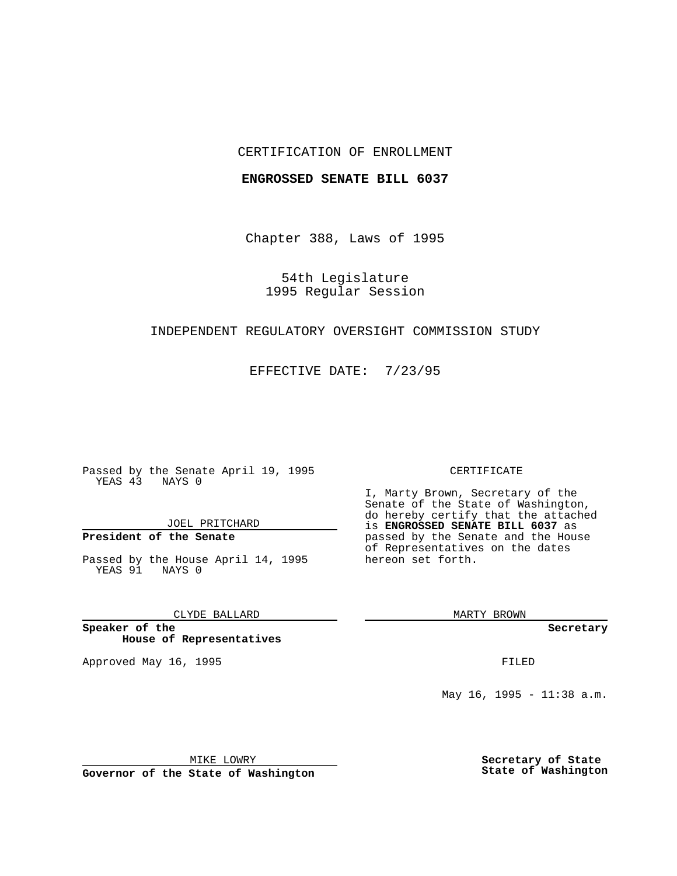## CERTIFICATION OF ENROLLMENT

### **ENGROSSED SENATE BILL 6037**

Chapter 388, Laws of 1995

54th Legislature 1995 Regular Session

## INDEPENDENT REGULATORY OVERSIGHT COMMISSION STUDY

EFFECTIVE DATE: 7/23/95

Passed by the Senate April 19, 1995 YEAS 43 NAYS 0

JOEL PRITCHARD

# **President of the Senate**

Passed by the House April 14, 1995 YEAS 91 NAYS 0

CLYDE BALLARD

**Speaker of the House of Representatives**

Approved May 16, 1995 FILED

#### CERTIFICATE

I, Marty Brown, Secretary of the Senate of the State of Washington, do hereby certify that the attached is **ENGROSSED SENATE BILL 6037** as passed by the Senate and the House of Representatives on the dates hereon set forth.

MARTY BROWN

**Secretary**

May 16, 1995 - 11:38 a.m.

MIKE LOWRY

**Governor of the State of Washington**

**Secretary of State State of Washington**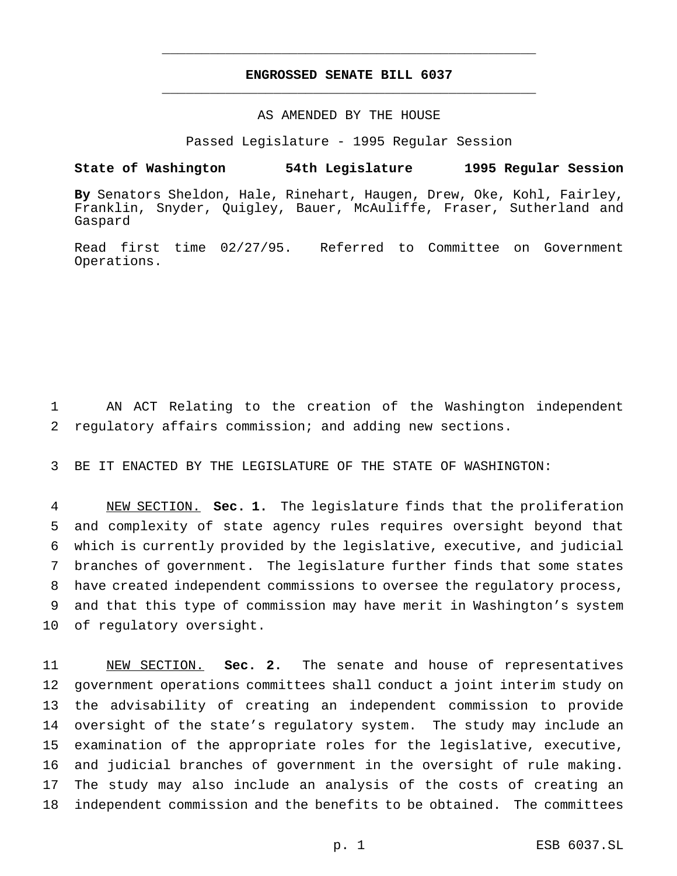## **ENGROSSED SENATE BILL 6037** \_\_\_\_\_\_\_\_\_\_\_\_\_\_\_\_\_\_\_\_\_\_\_\_\_\_\_\_\_\_\_\_\_\_\_\_\_\_\_\_\_\_\_\_\_\_\_

\_\_\_\_\_\_\_\_\_\_\_\_\_\_\_\_\_\_\_\_\_\_\_\_\_\_\_\_\_\_\_\_\_\_\_\_\_\_\_\_\_\_\_\_\_\_\_

## AS AMENDED BY THE HOUSE

Passed Legislature - 1995 Regular Session

#### **State of Washington 54th Legislature 1995 Regular Session**

**By** Senators Sheldon, Hale, Rinehart, Haugen, Drew, Oke, Kohl, Fairley, Franklin, Snyder, Quigley, Bauer, McAuliffe, Fraser, Sutherland and Gaspard

Read first time 02/27/95. Referred to Committee on Government Operations.

1 AN ACT Relating to the creation of the Washington independent 2 regulatory affairs commission; and adding new sections.

3 BE IT ENACTED BY THE LEGISLATURE OF THE STATE OF WASHINGTON:

 NEW SECTION. **Sec. 1.** The legislature finds that the proliferation and complexity of state agency rules requires oversight beyond that which is currently provided by the legislative, executive, and judicial branches of government. The legislature further finds that some states have created independent commissions to oversee the regulatory process, and that this type of commission may have merit in Washington's system of regulatory oversight.

 NEW SECTION. **Sec. 2.** The senate and house of representatives government operations committees shall conduct a joint interim study on the advisability of creating an independent commission to provide oversight of the state's regulatory system. The study may include an examination of the appropriate roles for the legislative, executive, and judicial branches of government in the oversight of rule making. The study may also include an analysis of the costs of creating an independent commission and the benefits to be obtained. The committees